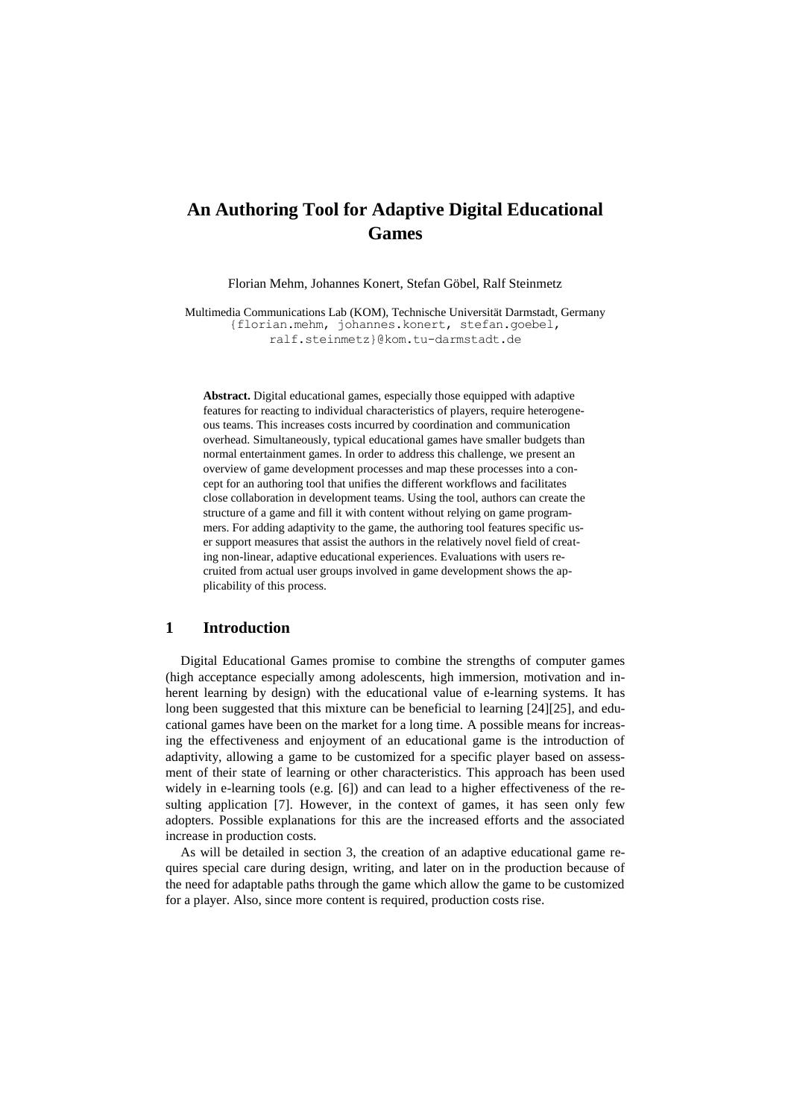# **An Authoring Tool for Adaptive Digital Educational Games**

Florian Mehm, Johannes Konert, Stefan Göbel, Ralf Steinmetz

Multimedia Communications Lab (KOM), Technische Universität Darmstadt, Germany {florian.mehm, johannes.konert, stefan.goebel, [ralf.steinmetz}@kom.tu-darmstadt.de](mailto:ralf.steinmetz%7d@kom.tu-darmstadt.de)

**Abstract.** Digital educational games, especially those equipped with adaptive features for reacting to individual characteristics of players, require heterogeneous teams. This increases costs incurred by coordination and communication overhead. Simultaneously, typical educational games have smaller budgets than normal entertainment games. In order to address this challenge, we present an overview of game development processes and map these processes into a concept for an authoring tool that unifies the different workflows and facilitates close collaboration in development teams. Using the tool, authors can create the structure of a game and fill it with content without relying on game programmers. For adding adaptivity to the game, the authoring tool features specific user support measures that assist the authors in the relatively novel field of creating non-linear, adaptive educational experiences. Evaluations with users recruited from actual user groups involved in game development shows the applicability of this process.

# **1 Introduction**

Digital Educational Games promise to combine the strengths of computer games (high acceptance especially among adolescents, high immersion, motivation and inherent learning by design) with the educational value of e-learning systems. It has long been suggested that this mixture can be beneficial to learning [24][25], and educational games have been on the market for a long time. A possible means for increasing the effectiveness and enjoyment of an educational game is the introduction of adaptivity, allowing a game to be customized for a specific player based on assessment of their state of learning or other characteristics. This approach has been used widely in e-learning tools (e.g. [6]) and can lead to a higher effectiveness of the resulting application [7]. However, in the context of games, it has seen only few adopters. Possible explanations for this are the increased efforts and the associated increase in production costs.

As will be detailed in section 3, the creation of an adaptive educational game requires special care during design, writing, and later on in the production because of the need for adaptable paths through the game which allow the game to be customized for a player. Also, since more content is required, production costs rise.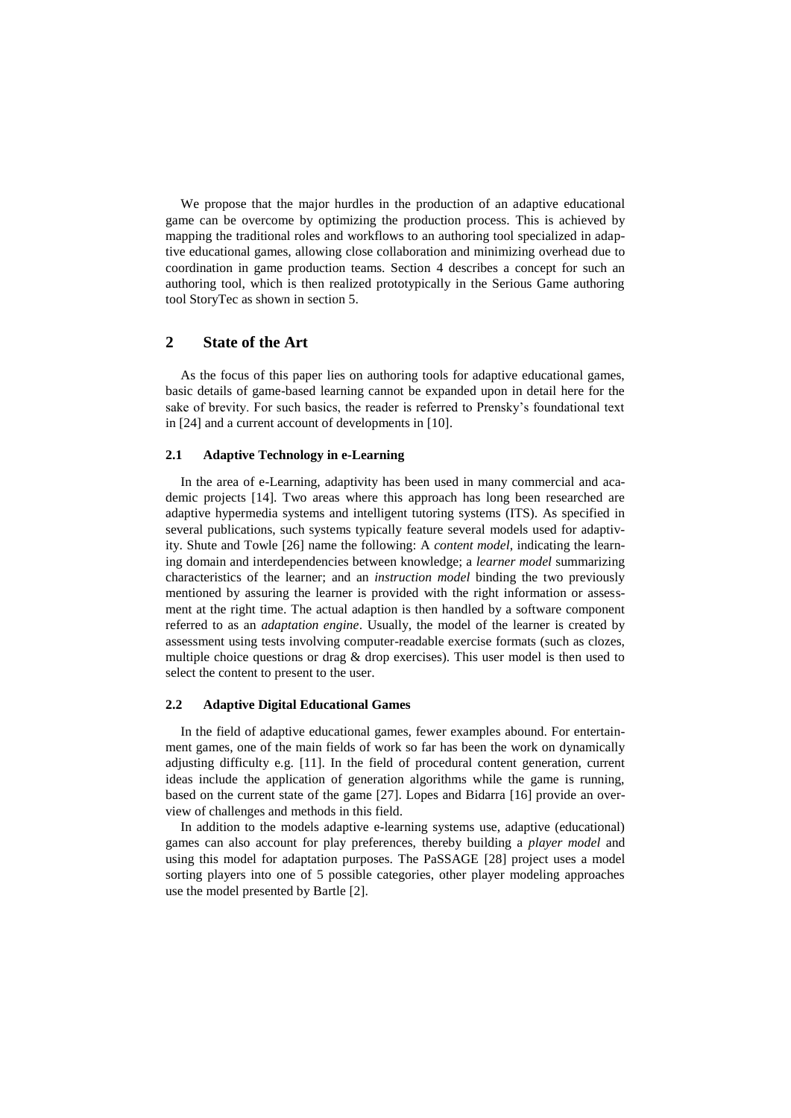We propose that the major hurdles in the production of an adaptive educational game can be overcome by optimizing the production process. This is achieved by mapping the traditional roles and workflows to an authoring tool specialized in adaptive educational games, allowing close collaboration and minimizing overhead due to coordination in game production teams. Section 4 describes a concept for such an authoring tool, which is then realized prototypically in the Serious Game authoring tool StoryTec as shown in section 5.

# **2 State of the Art**

As the focus of this paper lies on authoring tools for adaptive educational games, basic details of game-based learning cannot be expanded upon in detail here for the sake of brevity. For such basics, the reader is referred to Prensky's foundational text in [24] and a current account of developments in [10].

### **2.1 Adaptive Technology in e-Learning**

In the area of e-Learning, adaptivity has been used in many commercial and academic projects [14]. Two areas where this approach has long been researched are adaptive hypermedia systems and intelligent tutoring systems (ITS). As specified in several publications, such systems typically feature several models used for adaptivity. Shute and Towle [26] name the following: A *content model*, indicating the learning domain and interdependencies between knowledge; a *learner model* summarizing characteristics of the learner; and an *instruction model* binding the two previously mentioned by assuring the learner is provided with the right information or assessment at the right time. The actual adaption is then handled by a software component referred to as an *adaptation engine*. Usually, the model of the learner is created by assessment using tests involving computer-readable exercise formats (such as clozes, multiple choice questions or drag  $\&$  drop exercises). This user model is then used to select the content to present to the user.

### **2.2 Adaptive Digital Educational Games**

In the field of adaptive educational games, fewer examples abound. For entertainment games, one of the main fields of work so far has been the work on dynamically adjusting difficulty e.g. [11]. In the field of procedural content generation, current ideas include the application of generation algorithms while the game is running, based on the current state of the game [27]. Lopes and Bidarra [16] provide an overview of challenges and methods in this field.

In addition to the models adaptive e-learning systems use, adaptive (educational) games can also account for play preferences, thereby building a *player model* and using this model for adaptation purposes. The PaSSAGE [28] project uses a model sorting players into one of 5 possible categories, other player modeling approaches use the model presented by Bartle [2].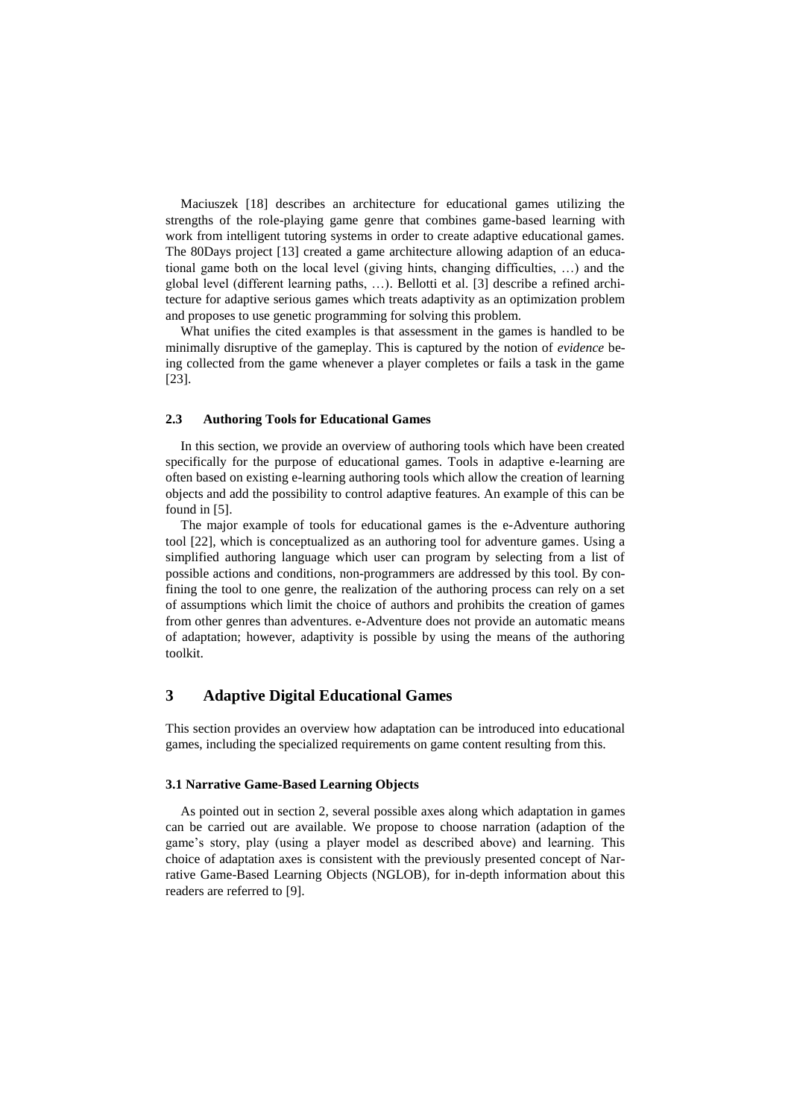Maciuszek [18] describes an architecture for educational games utilizing the strengths of the role-playing game genre that combines game-based learning with work from intelligent tutoring systems in order to create adaptive educational games. The 80Days project [13] created a game architecture allowing adaption of an educational game both on the local level (giving hints, changing difficulties, …) and the global level (different learning paths, …). Bellotti et al. [3] describe a refined architecture for adaptive serious games which treats adaptivity as an optimization problem and proposes to use genetic programming for solving this problem.

What unifies the cited examples is that assessment in the games is handled to be minimally disruptive of the gameplay. This is captured by the notion of *evidence* being collected from the game whenever a player completes or fails a task in the game [23].

### **2.3 Authoring Tools for Educational Games**

In this section, we provide an overview of authoring tools which have been created specifically for the purpose of educational games. Tools in adaptive e-learning are often based on existing e-learning authoring tools which allow the creation of learning objects and add the possibility to control adaptive features. An example of this can be found in [5].

The major example of tools for educational games is the e-Adventure authoring tool [22], which is conceptualized as an authoring tool for adventure games. Using a simplified authoring language which user can program by selecting from a list of possible actions and conditions, non-programmers are addressed by this tool. By confining the tool to one genre, the realization of the authoring process can rely on a set of assumptions which limit the choice of authors and prohibits the creation of games from other genres than adventures. e-Adventure does not provide an automatic means of adaptation; however, adaptivity is possible by using the means of the authoring toolkit.

# **3 Adaptive Digital Educational Games**

This section provides an overview how adaptation can be introduced into educational games, including the specialized requirements on game content resulting from this.

#### **3.1 Narrative Game-Based Learning Objects**

As pointed out in section 2, several possible axes along which adaptation in games can be carried out are available. We propose to choose narration (adaption of the game's story, play (using a player model as described above) and learning. This choice of adaptation axes is consistent with the previously presented concept of Narrative Game-Based Learning Objects (NGLOB), for in-depth information about this readers are referred to [9].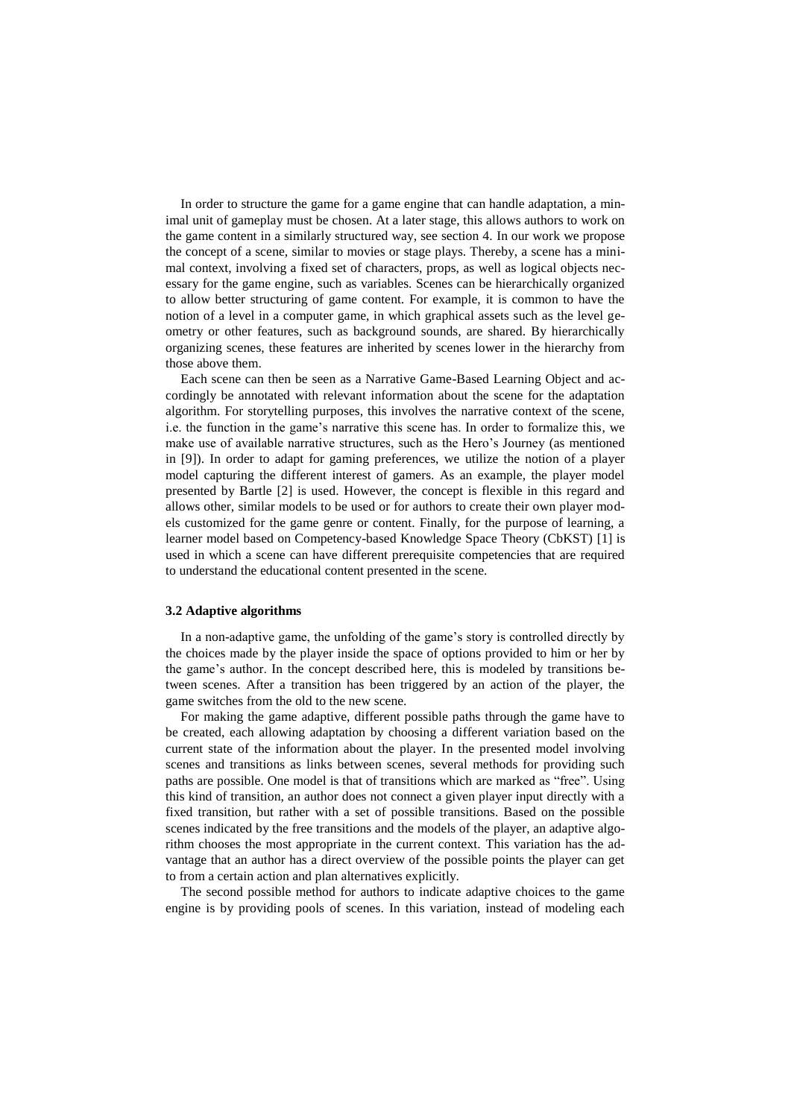In order to structure the game for a game engine that can handle adaptation, a minimal unit of gameplay must be chosen. At a later stage, this allows authors to work on the game content in a similarly structured way, see section 4. In our work we propose the concept of a scene, similar to movies or stage plays. Thereby, a scene has a minimal context, involving a fixed set of characters, props, as well as logical objects necessary for the game engine, such as variables. Scenes can be hierarchically organized to allow better structuring of game content. For example, it is common to have the notion of a level in a computer game, in which graphical assets such as the level geometry or other features, such as background sounds, are shared. By hierarchically organizing scenes, these features are inherited by scenes lower in the hierarchy from those above them.

Each scene can then be seen as a Narrative Game-Based Learning Object and accordingly be annotated with relevant information about the scene for the adaptation algorithm. For storytelling purposes, this involves the narrative context of the scene, i.e. the function in the game's narrative this scene has. In order to formalize this, we make use of available narrative structures, such as the Hero's Journey (as mentioned in [9]). In order to adapt for gaming preferences, we utilize the notion of a player model capturing the different interest of gamers. As an example, the player model presented by Bartle [2] is used. However, the concept is flexible in this regard and allows other, similar models to be used or for authors to create their own player models customized for the game genre or content. Finally, for the purpose of learning, a learner model based on Competency-based Knowledge Space Theory (CbKST) [1] is used in which a scene can have different prerequisite competencies that are required to understand the educational content presented in the scene.

#### **3.2 Adaptive algorithms**

In a non-adaptive game, the unfolding of the game's story is controlled directly by the choices made by the player inside the space of options provided to him or her by the game's author. In the concept described here, this is modeled by transitions between scenes. After a transition has been triggered by an action of the player, the game switches from the old to the new scene.

For making the game adaptive, different possible paths through the game have to be created, each allowing adaptation by choosing a different variation based on the current state of the information about the player. In the presented model involving scenes and transitions as links between scenes, several methods for providing such paths are possible. One model is that of transitions which are marked as "free". Using this kind of transition, an author does not connect a given player input directly with a fixed transition, but rather with a set of possible transitions. Based on the possible scenes indicated by the free transitions and the models of the player, an adaptive algorithm chooses the most appropriate in the current context. This variation has the advantage that an author has a direct overview of the possible points the player can get to from a certain action and plan alternatives explicitly.

The second possible method for authors to indicate adaptive choices to the game engine is by providing pools of scenes. In this variation, instead of modeling each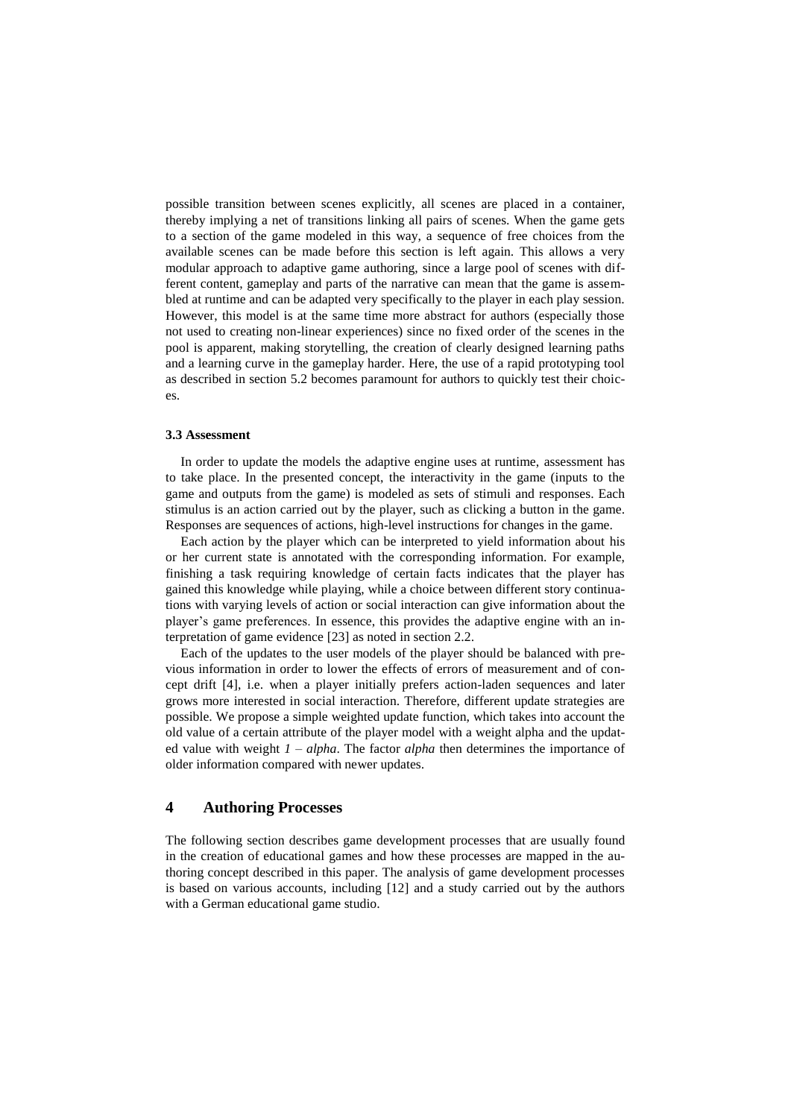possible transition between scenes explicitly, all scenes are placed in a container, thereby implying a net of transitions linking all pairs of scenes. When the game gets to a section of the game modeled in this way, a sequence of free choices from the available scenes can be made before this section is left again. This allows a very modular approach to adaptive game authoring, since a large pool of scenes with different content, gameplay and parts of the narrative can mean that the game is assembled at runtime and can be adapted very specifically to the player in each play session. However, this model is at the same time more abstract for authors (especially those not used to creating non-linear experiences) since no fixed order of the scenes in the pool is apparent, making storytelling, the creation of clearly designed learning paths and a learning curve in the gameplay harder. Here, the use of a rapid prototyping tool as described in section 5.2 becomes paramount for authors to quickly test their choices.

#### **3.3 Assessment**

In order to update the models the adaptive engine uses at runtime, assessment has to take place. In the presented concept, the interactivity in the game (inputs to the game and outputs from the game) is modeled as sets of stimuli and responses. Each stimulus is an action carried out by the player, such as clicking a button in the game. Responses are sequences of actions, high-level instructions for changes in the game.

Each action by the player which can be interpreted to yield information about his or her current state is annotated with the corresponding information. For example, finishing a task requiring knowledge of certain facts indicates that the player has gained this knowledge while playing, while a choice between different story continuations with varying levels of action or social interaction can give information about the player's game preferences. In essence, this provides the adaptive engine with an interpretation of game evidence [23] as noted in section 2.2.

Each of the updates to the user models of the player should be balanced with previous information in order to lower the effects of errors of measurement and of concept drift [4], i.e. when a player initially prefers action-laden sequences and later grows more interested in social interaction. Therefore, different update strategies are possible. We propose a simple weighted update function, which takes into account the old value of a certain attribute of the player model with a weight alpha and the updated value with weight *1 – alpha*. The factor *alpha* then determines the importance of older information compared with newer updates.

# **4 Authoring Processes**

The following section describes game development processes that are usually found in the creation of educational games and how these processes are mapped in the authoring concept described in this paper. The analysis of game development processes is based on various accounts, including [12] and a study carried out by the authors with a German educational game studio.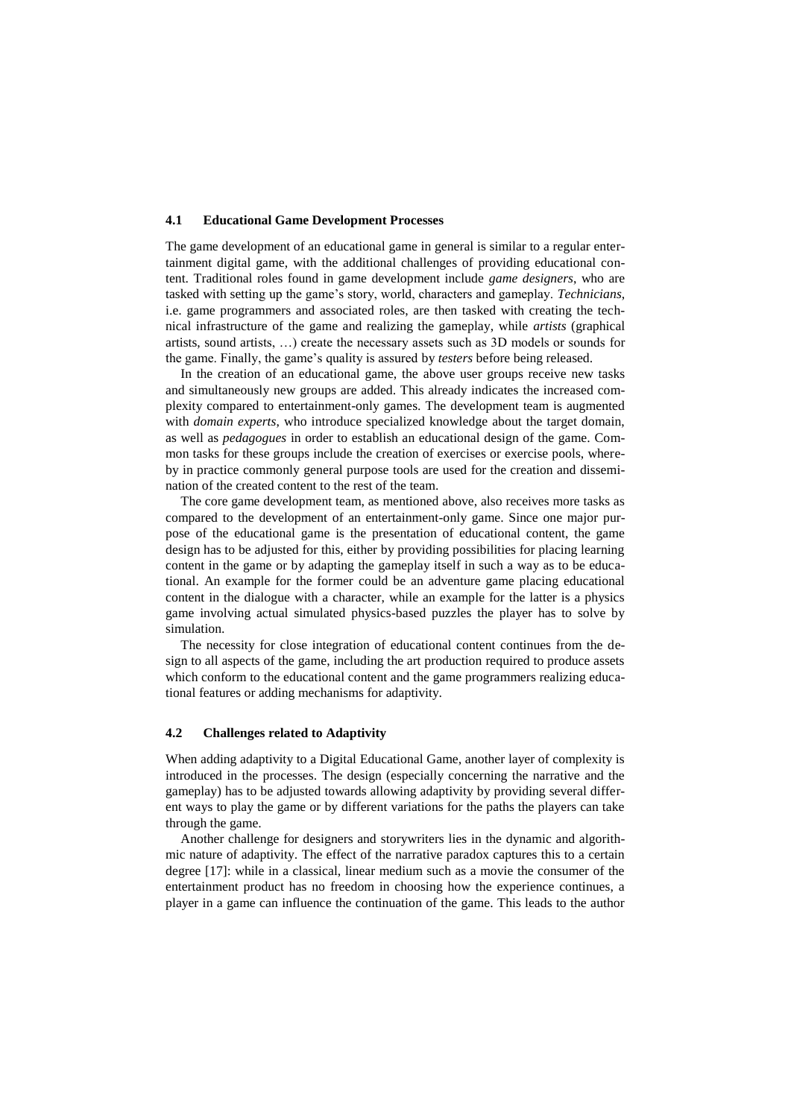#### **4.1 Educational Game Development Processes**

The game development of an educational game in general is similar to a regular entertainment digital game, with the additional challenges of providing educational content. Traditional roles found in game development include *game designers*, who are tasked with setting up the game's story, world, characters and gameplay. *Technicians*, i.e. game programmers and associated roles, are then tasked with creating the technical infrastructure of the game and realizing the gameplay, while *artists* (graphical artists, sound artists, …) create the necessary assets such as 3D models or sounds for the game. Finally, the game's quality is assured by *testers* before being released.

In the creation of an educational game, the above user groups receive new tasks and simultaneously new groups are added. This already indicates the increased complexity compared to entertainment-only games. The development team is augmented with *domain experts*, who introduce specialized knowledge about the target domain, as well as *pedagogues* in order to establish an educational design of the game. Common tasks for these groups include the creation of exercises or exercise pools, whereby in practice commonly general purpose tools are used for the creation and dissemination of the created content to the rest of the team.

The core game development team, as mentioned above, also receives more tasks as compared to the development of an entertainment-only game. Since one major purpose of the educational game is the presentation of educational content, the game design has to be adjusted for this, either by providing possibilities for placing learning content in the game or by adapting the gameplay itself in such a way as to be educational. An example for the former could be an adventure game placing educational content in the dialogue with a character, while an example for the latter is a physics game involving actual simulated physics-based puzzles the player has to solve by simulation.

The necessity for close integration of educational content continues from the design to all aspects of the game, including the art production required to produce assets which conform to the educational content and the game programmers realizing educational features or adding mechanisms for adaptivity.

#### **4.2 Challenges related to Adaptivity**

When adding adaptivity to a Digital Educational Game, another layer of complexity is introduced in the processes. The design (especially concerning the narrative and the gameplay) has to be adjusted towards allowing adaptivity by providing several different ways to play the game or by different variations for the paths the players can take through the game.

Another challenge for designers and storywriters lies in the dynamic and algorithmic nature of adaptivity. The effect of the narrative paradox captures this to a certain degree [17]: while in a classical, linear medium such as a movie the consumer of the entertainment product has no freedom in choosing how the experience continues, a player in a game can influence the continuation of the game. This leads to the author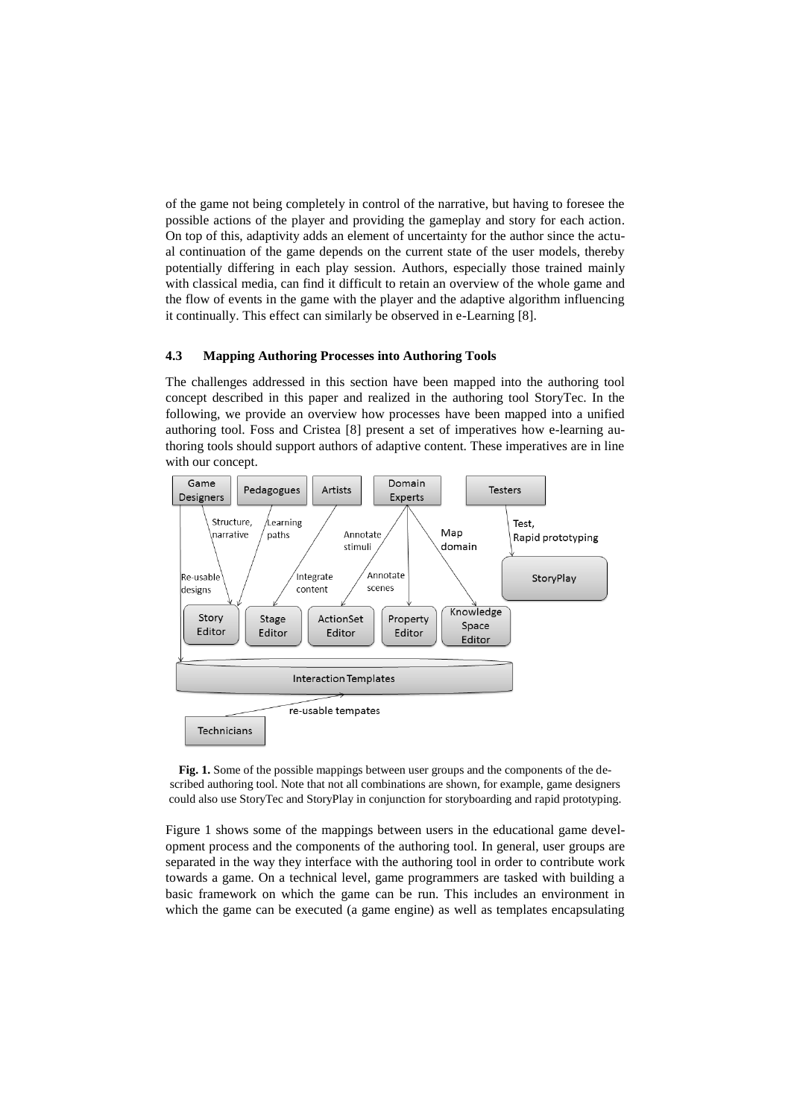of the game not being completely in control of the narrative, but having to foresee the possible actions of the player and providing the gameplay and story for each action. On top of this, adaptivity adds an element of uncertainty for the author since the actual continuation of the game depends on the current state of the user models, thereby potentially differing in each play session. Authors, especially those trained mainly with classical media, can find it difficult to retain an overview of the whole game and the flow of events in the game with the player and the adaptive algorithm influencing it continually. This effect can similarly be observed in e-Learning [8].

### **4.3 Mapping Authoring Processes into Authoring Tools**

The challenges addressed in this section have been mapped into the authoring tool concept described in this paper and realized in the authoring tool StoryTec. In the following, we provide an overview how processes have been mapped into a unified authoring tool. Foss and Cristea [8] present a set of imperatives how e-learning authoring tools should support authors of adaptive content. These imperatives are in line with our concept.



**Fig. 1.** Some of the possible mappings between user groups and the components of the described authoring tool. Note that not all combinations are shown, for example, game designers could also use StoryTec and StoryPlay in conjunction for storyboarding and rapid prototyping.

Figure 1 shows some of the mappings between users in the educational game development process and the components of the authoring tool. In general, user groups are separated in the way they interface with the authoring tool in order to contribute work towards a game. On a technical level, game programmers are tasked with building a basic framework on which the game can be run. This includes an environment in which the game can be executed (a game engine) as well as templates encapsulating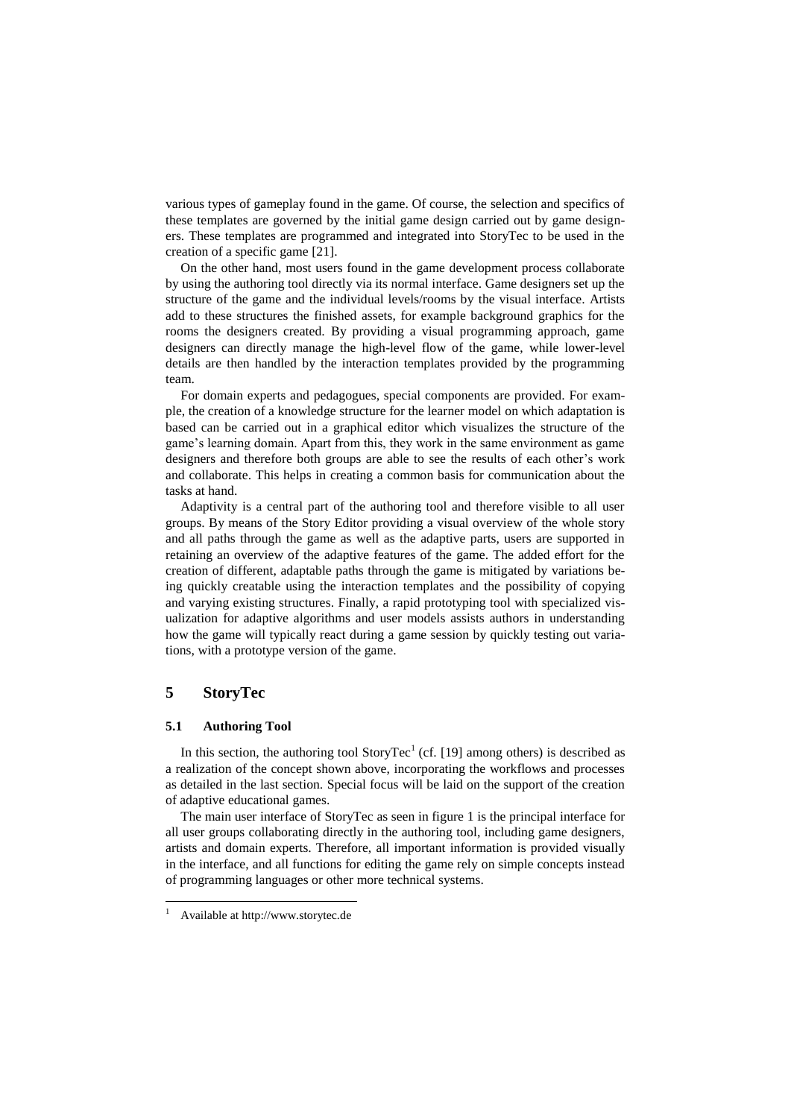various types of gameplay found in the game. Of course, the selection and specifics of these templates are governed by the initial game design carried out by game designers. These templates are programmed and integrated into StoryTec to be used in the creation of a specific game [21].

On the other hand, most users found in the game development process collaborate by using the authoring tool directly via its normal interface. Game designers set up the structure of the game and the individual levels/rooms by the visual interface. Artists add to these structures the finished assets, for example background graphics for the rooms the designers created. By providing a visual programming approach, game designers can directly manage the high-level flow of the game, while lower-level details are then handled by the interaction templates provided by the programming team.

For domain experts and pedagogues, special components are provided. For example, the creation of a knowledge structure for the learner model on which adaptation is based can be carried out in a graphical editor which visualizes the structure of the game's learning domain. Apart from this, they work in the same environment as game designers and therefore both groups are able to see the results of each other's work and collaborate. This helps in creating a common basis for communication about the tasks at hand.

Adaptivity is a central part of the authoring tool and therefore visible to all user groups. By means of the Story Editor providing a visual overview of the whole story and all paths through the game as well as the adaptive parts, users are supported in retaining an overview of the adaptive features of the game. The added effort for the creation of different, adaptable paths through the game is mitigated by variations being quickly creatable using the interaction templates and the possibility of copying and varying existing structures. Finally, a rapid prototyping tool with specialized visualization for adaptive algorithms and user models assists authors in understanding how the game will typically react during a game session by quickly testing out variations, with a prototype version of the game.

# **5 StoryTec**

 $\overline{a}$ 

### **5.1 Authoring Tool**

In this section, the authoring tool StoryTec<sup>1</sup> (cf. [19] among others) is described as a realization of the concept shown above, incorporating the workflows and processes as detailed in the last section. Special focus will be laid on the support of the creation of adaptive educational games.

The main user interface of StoryTec as seen in figure 1 is the principal interface for all user groups collaborating directly in the authoring tool, including game designers, artists and domain experts. Therefore, all important information is provided visually in the interface, and all functions for editing the game rely on simple concepts instead of programming languages or other more technical systems.

<sup>1</sup> Available at http://www.storytec.de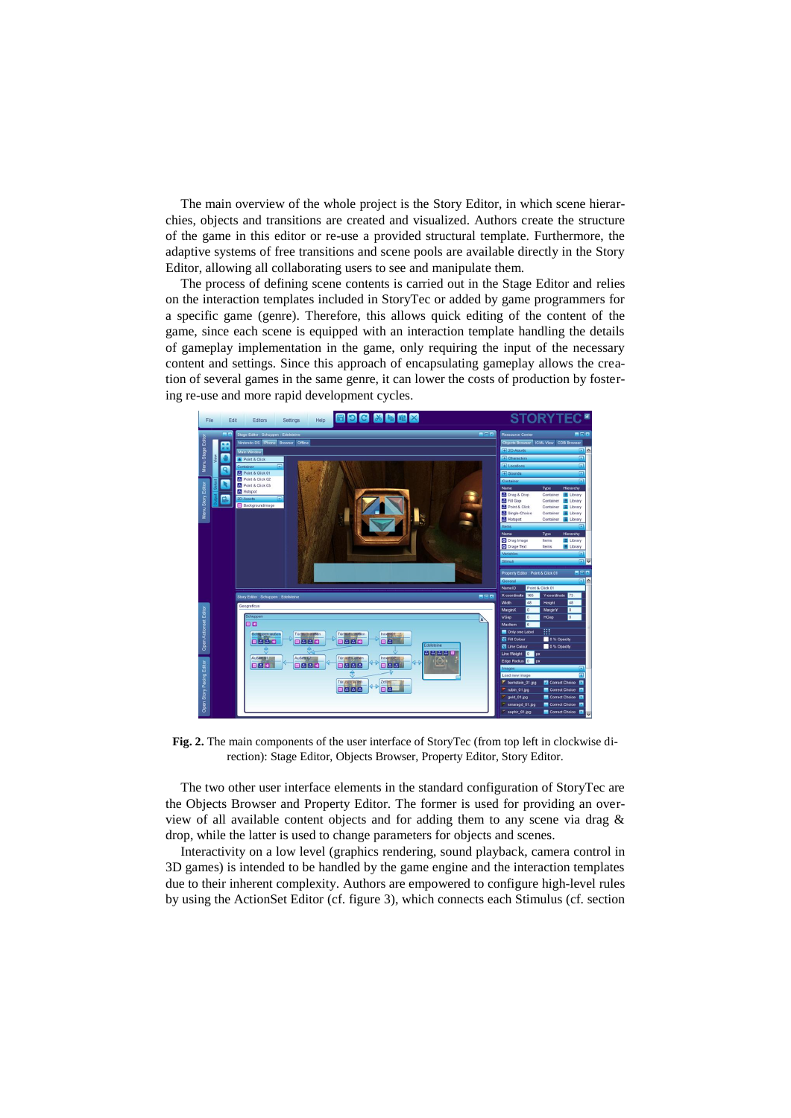The main overview of the whole project is the Story Editor, in which scene hierarchies, objects and transitions are created and visualized. Authors create the structure of the game in this editor or re-use a provided structural template. Furthermore, the adaptive systems of free transitions and scene pools are available directly in the Story Editor, allowing all collaborating users to see and manipulate them.

The process of defining scene contents is carried out in the Stage Editor and relies on the interaction templates included in StoryTec or added by game programmers for a specific game (genre). Therefore, this allows quick editing of the content of the game, since each scene is equipped with an interaction template handling the details of gameplay implementation in the game, only requiring the input of the necessary content and settings. Since this approach of encapsulating gameplay allows the creation of several games in the same genre, it can lower the costs of production by fostering re-use and more rapid development cycles.



**Fig. 2.** The main components of the user interface of StoryTec (from top left in clockwise direction): Stage Editor, Objects Browser, Property Editor, Story Editor.

The two other user interface elements in the standard configuration of StoryTec are the Objects Browser and Property Editor. The former is used for providing an overview of all available content objects and for adding them to any scene via drag & drop, while the latter is used to change parameters for objects and scenes.

Interactivity on a low level (graphics rendering, sound playback, camera control in 3D games) is intended to be handled by the game engine and the interaction templates due to their inherent complexity. Authors are empowered to configure high-level rules by using the ActionSet Editor (cf. figure 3), which connects each Stimulus (cf. section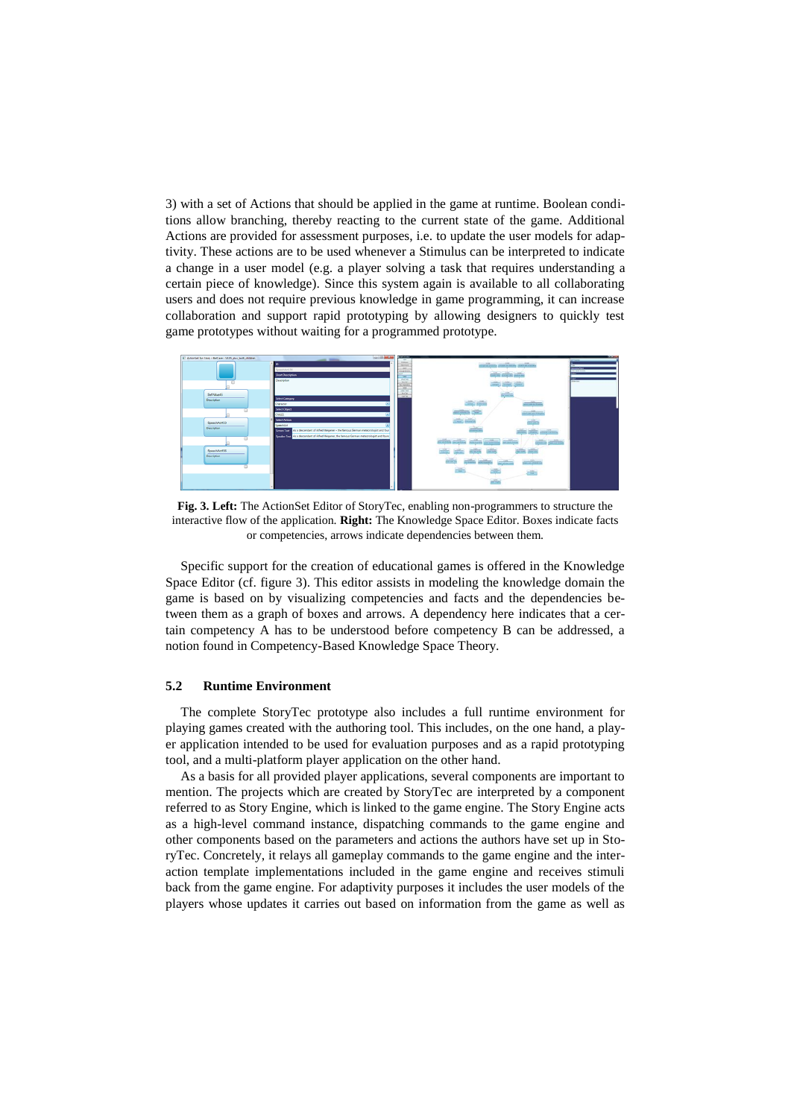3) with a set of Actions that should be applied in the game at runtime. Boolean conditions allow branching, thereby reacting to the current state of the game. Additional Actions are provided for assessment purposes, i.e. to update the user models for adaptivity. These actions are to be used whenever a Stimulus can be interpreted to indicate a change in a user model (e.g. a player solving a task that requires understanding a certain piece of knowledge). Since this system again is available to all collaborating users and does not require previous knowledge in game programming, it can increase collaboration and support rapid prototyping by allowing designers to quickly test game prototypes without waiting for a programmed prototype.



**Fig. 3. Left:** The ActionSet Editor of StoryTec, enabling non-programmers to structure the interactive flow of the application. **Right:** The Knowledge Space Editor. Boxes indicate facts or competencies, arrows indicate dependencies between them.

Specific support for the creation of educational games is offered in the Knowledge Space Editor (cf. figure 3). This editor assists in modeling the knowledge domain the game is based on by visualizing competencies and facts and the dependencies between them as a graph of boxes and arrows. A dependency here indicates that a certain competency A has to be understood before competency B can be addressed, a notion found in Competency-Based Knowledge Space Theory.

### **5.2 Runtime Environment**

The complete StoryTec prototype also includes a full runtime environment for playing games created with the authoring tool. This includes, on the one hand, a player application intended to be used for evaluation purposes and as a rapid prototyping tool, and a multi-platform player application on the other hand.

As a basis for all provided player applications, several components are important to mention. The projects which are created by StoryTec are interpreted by a component referred to as Story Engine, which is linked to the game engine. The Story Engine acts as a high-level command instance, dispatching commands to the game engine and other components based on the parameters and actions the authors have set up in StoryTec. Concretely, it relays all gameplay commands to the game engine and the interaction template implementations included in the game engine and receives stimuli back from the game engine. For adaptivity purposes it includes the user models of the players whose updates it carries out based on information from the game as well as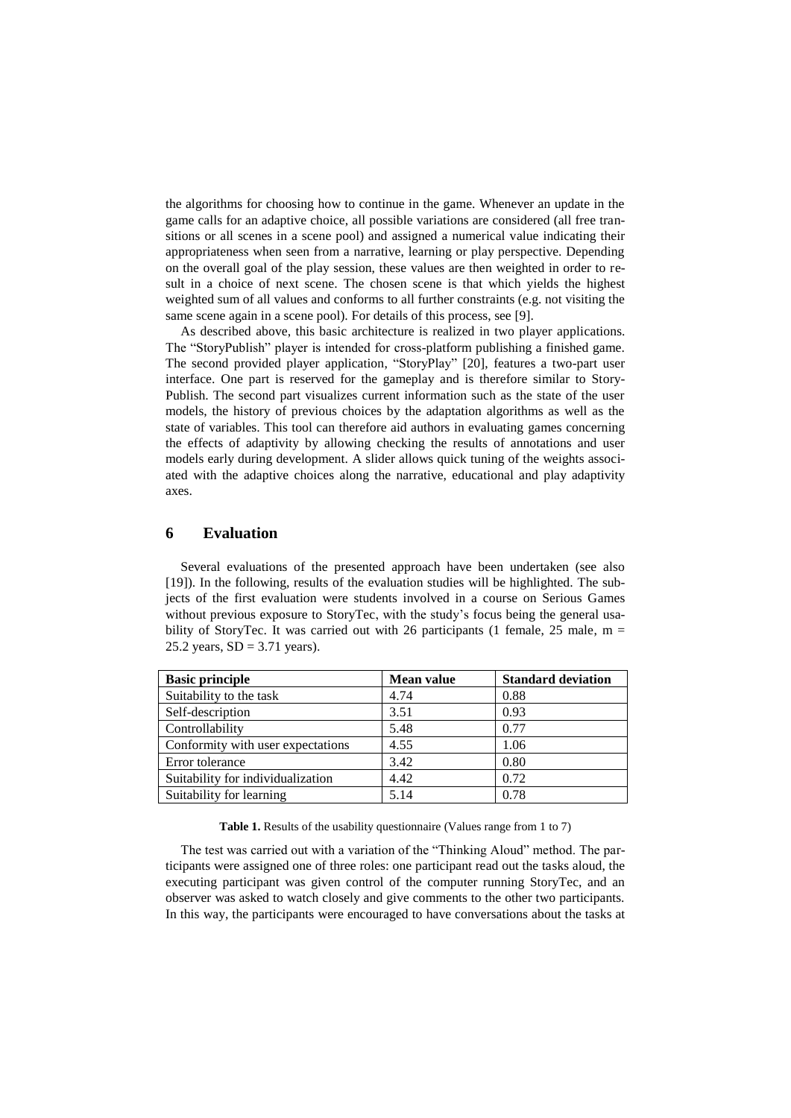the algorithms for choosing how to continue in the game. Whenever an update in the game calls for an adaptive choice, all possible variations are considered (all free transitions or all scenes in a scene pool) and assigned a numerical value indicating their appropriateness when seen from a narrative, learning or play perspective. Depending on the overall goal of the play session, these values are then weighted in order to result in a choice of next scene. The chosen scene is that which yields the highest weighted sum of all values and conforms to all further constraints (e.g. not visiting the same scene again in a scene pool). For details of this process, see [9].

As described above, this basic architecture is realized in two player applications. The "StoryPublish" player is intended for cross-platform publishing a finished game. The second provided player application, "StoryPlay" [20], features a two-part user interface. One part is reserved for the gameplay and is therefore similar to Story-Publish. The second part visualizes current information such as the state of the user models, the history of previous choices by the adaptation algorithms as well as the state of variables. This tool can therefore aid authors in evaluating games concerning the effects of adaptivity by allowing checking the results of annotations and user models early during development. A slider allows quick tuning of the weights associated with the adaptive choices along the narrative, educational and play adaptivity axes.

# **6 Evaluation**

Several evaluations of the presented approach have been undertaken (see also [19]). In the following, results of the evaluation studies will be highlighted. The subjects of the first evaluation were students involved in a course on Serious Games without previous exposure to StoryTec, with the study's focus being the general usability of StoryTec. It was carried out with 26 participants (1 female, 25 male, m = 25.2 years,  $SD = 3.71$  years).

| <b>Basic principle</b>            | Mean value | <b>Standard deviation</b> |
|-----------------------------------|------------|---------------------------|
| Suitability to the task           | 4.74       | 0.88                      |
| Self-description                  | 3.51       | 0.93                      |
| Controllability                   | 5.48       | 0.77                      |
| Conformity with user expectations | 4.55       | 1.06                      |
| Error tolerance                   | 3.42       | 0.80                      |
| Suitability for individualization | 4.42       | 0.72                      |
| Suitability for learning          | 5.14       | 0.78                      |

**Table 1.** Results of the usability questionnaire (Values range from 1 to 7)

The test was carried out with a variation of the "Thinking Aloud" method. The participants were assigned one of three roles: one participant read out the tasks aloud, the executing participant was given control of the computer running StoryTec, and an observer was asked to watch closely and give comments to the other two participants. In this way, the participants were encouraged to have conversations about the tasks at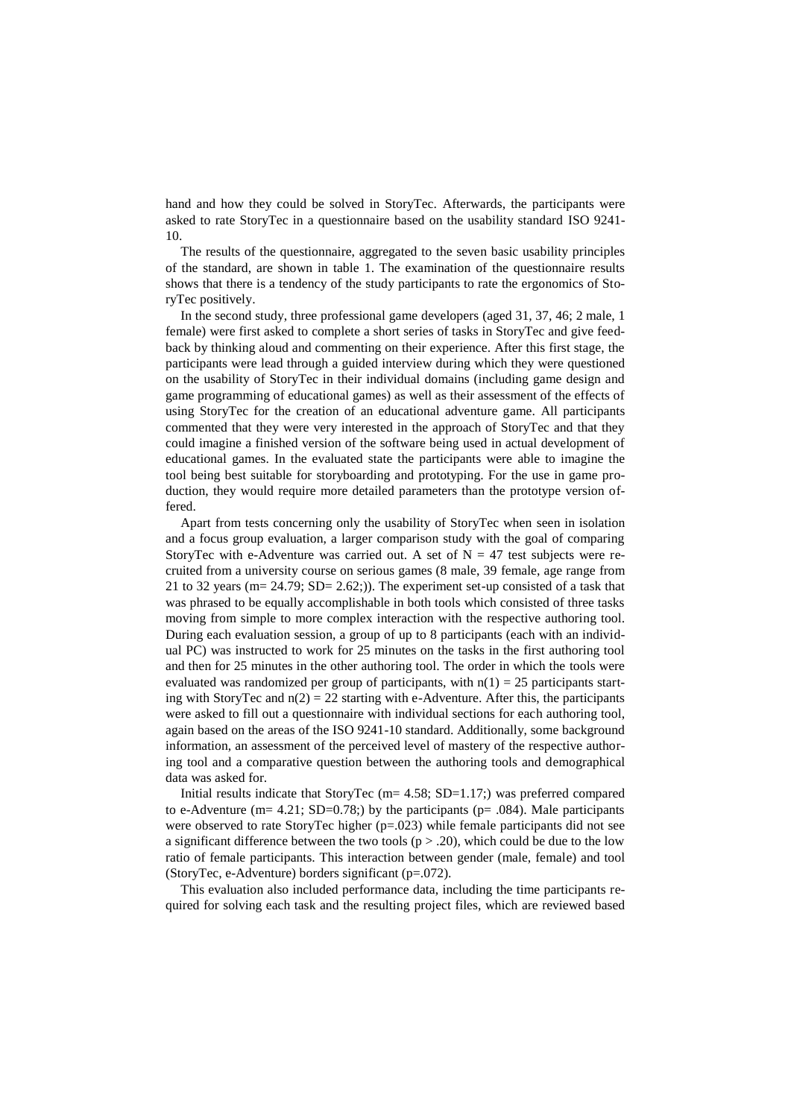hand and how they could be solved in StoryTec. Afterwards, the participants were asked to rate StoryTec in a questionnaire based on the usability standard ISO 9241- 10.

The results of the questionnaire, aggregated to the seven basic usability principles of the standard, are shown in table 1. The examination of the questionnaire results shows that there is a tendency of the study participants to rate the ergonomics of StoryTec positively.

In the second study, three professional game developers (aged 31, 37, 46; 2 male, 1 female) were first asked to complete a short series of tasks in StoryTec and give feedback by thinking aloud and commenting on their experience. After this first stage, the participants were lead through a guided interview during which they were questioned on the usability of StoryTec in their individual domains (including game design and game programming of educational games) as well as their assessment of the effects of using StoryTec for the creation of an educational adventure game. All participants commented that they were very interested in the approach of StoryTec and that they could imagine a finished version of the software being used in actual development of educational games. In the evaluated state the participants were able to imagine the tool being best suitable for storyboarding and prototyping. For the use in game production, they would require more detailed parameters than the prototype version offered.

Apart from tests concerning only the usability of StoryTec when seen in isolation and a focus group evaluation, a larger comparison study with the goal of comparing StoryTec with e-Adventure was carried out. A set of  $N = 47$  test subjects were recruited from a university course on serious games (8 male, 39 female, age range from 21 to 32 years (m= 24.79; SD= 2.62;)). The experiment set-up consisted of a task that was phrased to be equally accomplishable in both tools which consisted of three tasks moving from simple to more complex interaction with the respective authoring tool. During each evaluation session, a group of up to 8 participants (each with an individual PC) was instructed to work for 25 minutes on the tasks in the first authoring tool and then for 25 minutes in the other authoring tool. The order in which the tools were evaluated was randomized per group of participants, with  $n(1) = 25$  participants starting with StoryTec and  $n(2) = 22$  starting with e-Adventure. After this, the participants were asked to fill out a questionnaire with individual sections for each authoring tool, again based on the areas of the ISO 9241-10 standard. Additionally, some background information, an assessment of the perceived level of mastery of the respective authoring tool and a comparative question between the authoring tools and demographical data was asked for.

Initial results indicate that StoryTec ( $m= 4.58$ ; SD=1.17;) was preferred compared to e-Adventure ( $m= 4.21$ ; SD=0.78;) by the participants ( $p= .084$ ). Male participants were observed to rate StoryTec higher  $(p=.023)$  while female participants did not see a significant difference between the two tools  $(p > .20)$ , which could be due to the low ratio of female participants. This interaction between gender (male, female) and tool (StoryTec, e-Adventure) borders significant (p=.072).

This evaluation also included performance data, including the time participants required for solving each task and the resulting project files, which are reviewed based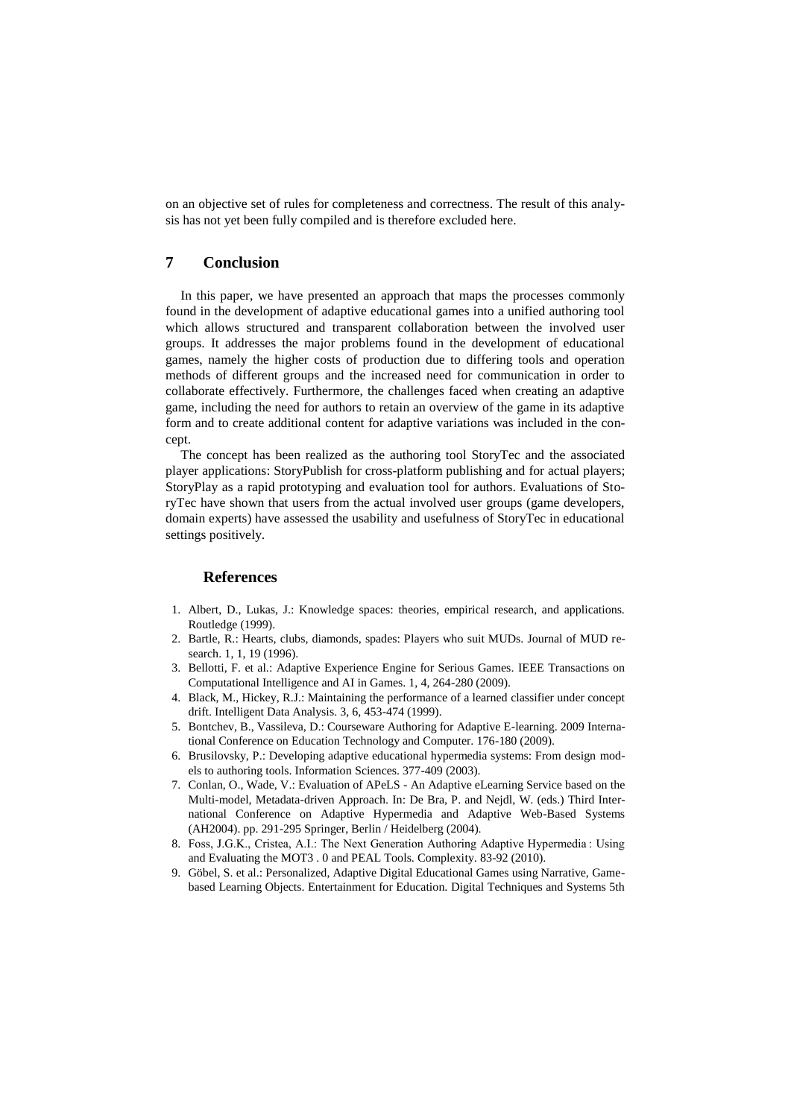on an objective set of rules for completeness and correctness. The result of this analysis has not yet been fully compiled and is therefore excluded here.

# **7 Conclusion**

In this paper, we have presented an approach that maps the processes commonly found in the development of adaptive educational games into a unified authoring tool which allows structured and transparent collaboration between the involved user groups. It addresses the major problems found in the development of educational games, namely the higher costs of production due to differing tools and operation methods of different groups and the increased need for communication in order to collaborate effectively. Furthermore, the challenges faced when creating an adaptive game, including the need for authors to retain an overview of the game in its adaptive form and to create additional content for adaptive variations was included in the concept.

The concept has been realized as the authoring tool StoryTec and the associated player applications: StoryPublish for cross-platform publishing and for actual players; StoryPlay as a rapid prototyping and evaluation tool for authors. Evaluations of StoryTec have shown that users from the actual involved user groups (game developers, domain experts) have assessed the usability and usefulness of StoryTec in educational settings positively.

### **References**

- 1. Albert, D., Lukas, J.: Knowledge spaces: theories, empirical research, and applications. Routledge (1999).
- 2. Bartle, R.: Hearts, clubs, diamonds, spades: Players who suit MUDs. Journal of MUD research. 1, 1, 19 (1996).
- 3. Bellotti, F. et al.: Adaptive Experience Engine for Serious Games. IEEE Transactions on Computational Intelligence and AI in Games. 1, 4, 264-280 (2009).
- 4. Black, M., Hickey, R.J.: Maintaining the performance of a learned classifier under concept drift. Intelligent Data Analysis. 3, 6, 453-474 (1999).
- 5. Bontchev, B., Vassileva, D.: Courseware Authoring for Adaptive E-learning. 2009 International Conference on Education Technology and Computer. 176-180 (2009).
- 6. Brusilovsky, P.: Developing adaptive educational hypermedia systems: From design models to authoring tools. Information Sciences. 377-409 (2003).
- 7. Conlan, O., Wade, V.: Evaluation of APeLS An Adaptive eLearning Service based on the Multi-model, Metadata-driven Approach. In: De Bra, P. and Nejdl, W. (eds.) Third International Conference on Adaptive Hypermedia and Adaptive Web-Based Systems (AH2004). pp. 291-295 Springer, Berlin / Heidelberg (2004).
- 8. Foss, J.G.K., Cristea, A.I.: The Next Generation Authoring Adaptive Hypermedia : Using and Evaluating the MOT3 . 0 and PEAL Tools. Complexity. 83-92 (2010).
- 9. Göbel, S. et al.: Personalized, Adaptive Digital Educational Games using Narrative, Gamebased Learning Objects. Entertainment for Education. Digital Techniques and Systems 5th